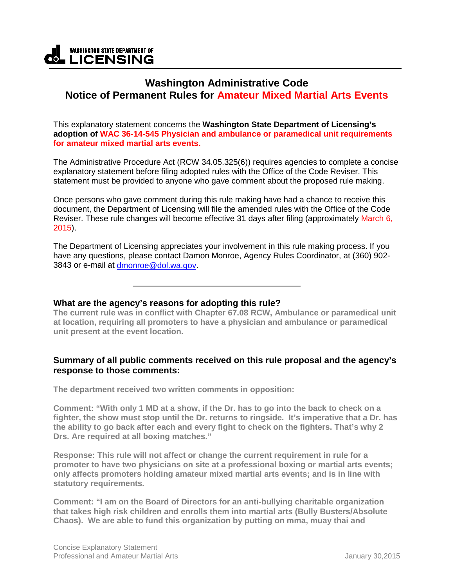#### **WASHINGTON STATE DEPARTMENT OF \_ICENSING** .o

# **Washington Administrative Code Notice of Permanent Rules for Amateur Mixed Martial Arts Events**

This explanatory statement concerns the **Washington State Department of Licensing's adoption of WAC 36-14-545 Physician and ambulance or paramedical unit requirements for amateur mixed martial arts events.** 

The Administrative Procedure Act (RCW 34.05.325(6)) requires agencies to complete a concise explanatory statement before filing adopted rules with the Office of the Code Reviser. This statement must be provided to anyone who gave comment about the proposed rule making.

Once persons who gave comment during this rule making have had a chance to receive this document, the Department of Licensing will file the amended rules with the Office of the Code Reviser. These rule changes will become effective 31 days after filing (approximately March 6, 2015).

The Department of Licensing appreciates your involvement in this rule making process. If you have any questions, please contact Damon Monroe, Agency Rules Coordinator, at (360) 902- 3843 or e-mail at [dmonroe@dol.wa.gov.](mailto:dmonroe@dol.wa.gov)

**What are the agency's reasons for adopting this rule?**

**The current rule was in conflict with Chapter 67.08 RCW, Ambulance or paramedical unit at location, requiring all promoters to have a physician and ambulance or paramedical unit present at the event location.**

# **Summary of all public comments received on this rule proposal and the agency's response to those comments:**

**The department received two written comments in opposition:** 

**Comment: "With only 1 MD at a show, if the Dr. has to go into the back to check on a fighter, the show must stop until the Dr. returns to ringside. It's imperative that a Dr. has the ability to go back after each and every fight to check on the fighters. That's why 2 Drs. Are required at all boxing matches."**

**Response: This rule will not affect or change the current requirement in rule for a promoter to have two physicians on site at a professional boxing or martial arts events; only affects promoters holding amateur mixed martial arts events; and is in line with statutory requirements.**

**Comment: "I am on the Board of Directors for an anti-bullying charitable organization that takes high risk children and enrolls them into martial arts (Bully Busters/Absolute Chaos). We are able to fund this organization by putting on mma, muay thai and**